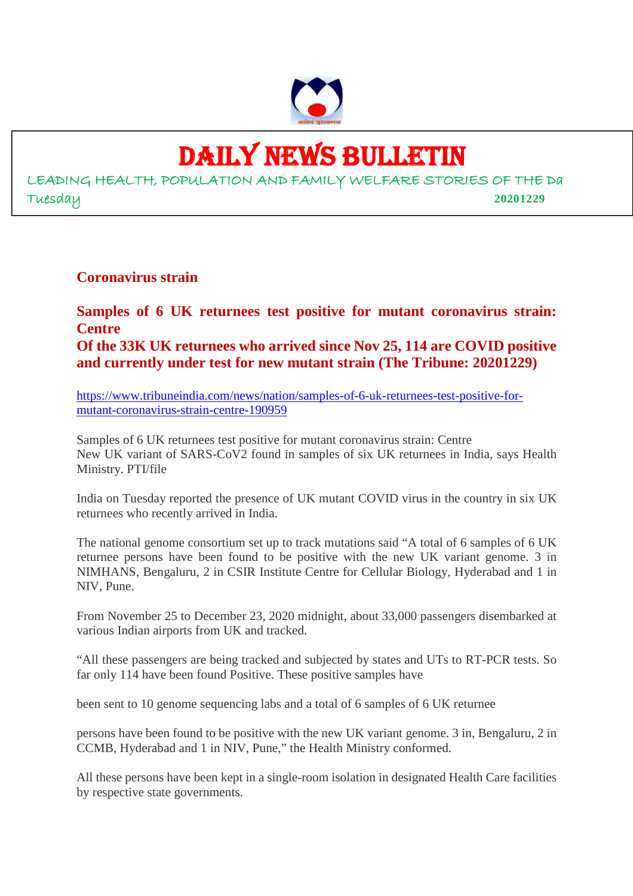

## DAILY NEWS BULLETIN

LEADING HEALTH, POPULATION AND FAMILY WELFARE STORIES OF THE Da Tuesday **20201229**

**Coronavirus strain**

**Samples of 6 UK returnees test positive for mutant coronavirus strain: Centre Of the 33K UK returnees who arrived since Nov 25, 114 are COVID positive and currently under test for new mutant strain (The Tribune: 20201229)**

https://www.tribuneindia.com/news/nation/samples-of-6-uk-returnees-test-positive-formutant-coronavirus-strain-centre-190959

Samples of 6 UK returnees test positive for mutant coronavirus strain: Centre New UK variant of SARS-CoV2 found in samples of six UK returnees in India, says Health Ministry. PTI/file

India on Tuesday reported the presence of UK mutant COVID virus in the country in six UK returnees who recently arrived in India.

The national genome consortium set up to track mutations said "A total of 6 samples of 6 UK returnee persons have been found to be positive with the new UK variant genome. 3 in NIMHANS, Bengaluru, 2 in CSIR Institute Centre for Cellular Biology, Hyderabad and 1 in NIV, Pune.

From November 25 to December 23, 2020 midnight, about 33,000 passengers disembarked at various Indian airports from UK and tracked.

"All these passengers are being tracked and subjected by states and UTs to RT-PCR tests. So far only 114 have been found Positive. These positive samples have

been sent to 10 genome sequencing labs and a total of 6 samples of 6 UK returnee

persons have been found to be positive with the new UK variant genome. 3 in, Bengaluru, 2 in CCMB, Hyderabad and 1 in NIV, Pune," the Health Ministry conformed.

All these persons have been kept in a single-room isolation in designated Health Care facilities by respective state governments.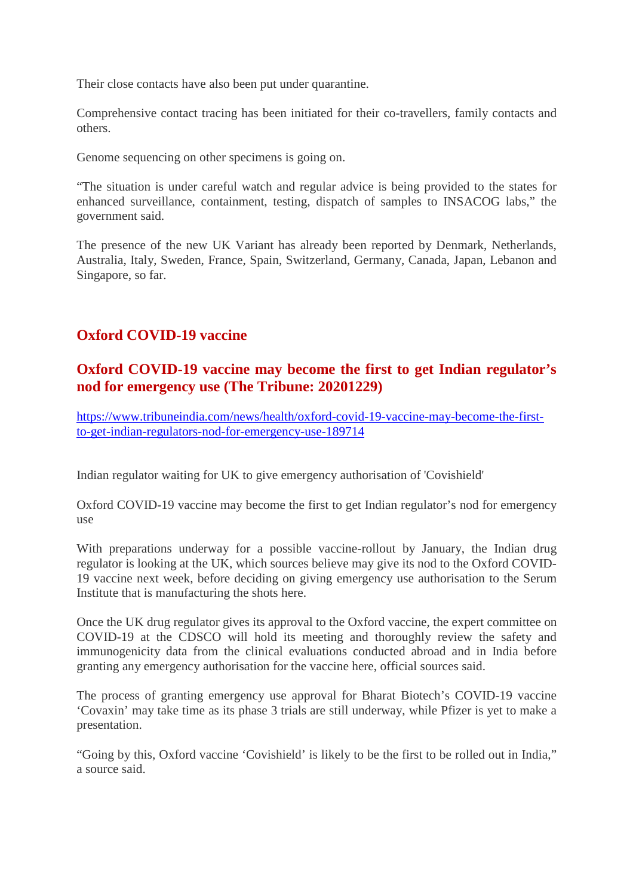Their close contacts have also been put under quarantine.

Comprehensive contact tracing has been initiated for their co-travellers, family contacts and others.

Genome sequencing on other specimens is going on.

"The situation is under careful watch and regular advice is being provided to the states for enhanced surveillance, containment, testing, dispatch of samples to INSACOG labs," the government said.

The presence of the new UK Variant has already been reported by Denmark, Netherlands, Australia, Italy, Sweden, France, Spain, Switzerland, Germany, Canada, Japan, Lebanon and Singapore, so far.

#### **Oxford COVID-19 vaccine**

#### **Oxford COVID-19 vaccine may become the first to get Indian regulator's nod for emergency use (The Tribune: 20201229)**

https://www.tribuneindia.com/news/health/oxford-covid-19-vaccine-may-become-the-firstto-get-indian-regulators-nod-for-emergency-use-189714

Indian regulator waiting for UK to give emergency authorisation of 'Covishield'

Oxford COVID-19 vaccine may become the first to get Indian regulator's nod for emergency use

With preparations underway for a possible vaccine-rollout by January, the Indian drug regulator is looking at the UK, which sources believe may give its nod to the Oxford COVID-19 vaccine next week, before deciding on giving emergency use authorisation to the Serum Institute that is manufacturing the shots here.

Once the UK drug regulator gives its approval to the Oxford vaccine, the expert committee on COVID-19 at the CDSCO will hold its meeting and thoroughly review the safety and immunogenicity data from the clinical evaluations conducted abroad and in India before granting any emergency authorisation for the vaccine here, official sources said.

The process of granting emergency use approval for Bharat Biotech's COVID-19 vaccine 'Covaxin' may take time as its phase 3 trials are still underway, while Pfizer is yet to make a presentation.

"Going by this, Oxford vaccine 'Covishield' is likely to be the first to be rolled out in India," a source said.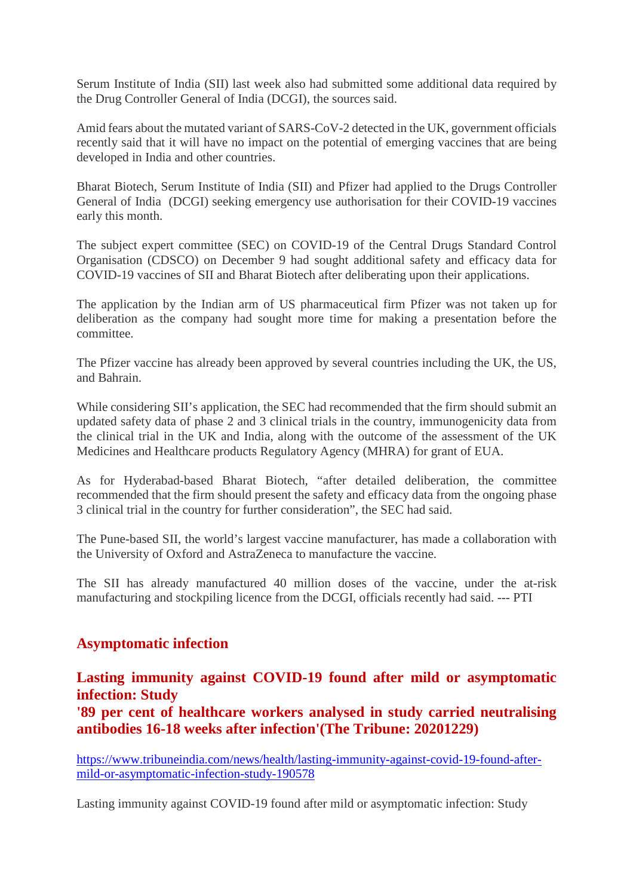Serum Institute of India (SII) last week also had submitted some additional data required by the Drug Controller General of India (DCGI), the sources said.

Amid fears about the mutated variant of SARS-CoV-2 detected in the UK, government officials recently said that it will have no impact on the potential of emerging vaccines that are being developed in India and other countries.

Bharat Biotech, Serum Institute of India (SII) and Pfizer had applied to the Drugs Controller General of India (DCGI) seeking emergency use authorisation for their COVID-19 vaccines early this month.

The subject expert committee (SEC) on COVID-19 of the Central Drugs Standard Control Organisation (CDSCO) on December 9 had sought additional safety and efficacy data for COVID-19 vaccines of SII and Bharat Biotech after deliberating upon their applications.

The application by the Indian arm of US pharmaceutical firm Pfizer was not taken up for deliberation as the company had sought more time for making a presentation before the committee.

The Pfizer vaccine has already been approved by several countries including the UK, the US, and Bahrain.

While considering SII's application, the SEC had recommended that the firm should submit an updated safety data of phase 2 and 3 clinical trials in the country, immunogenicity data from the clinical trial in the UK and India, along with the outcome of the assessment of the UK Medicines and Healthcare products Regulatory Agency (MHRA) for grant of EUA.

As for Hyderabad-based Bharat Biotech, "after detailed deliberation, the committee recommended that the firm should present the safety and efficacy data from the ongoing phase 3 clinical trial in the country for further consideration", the SEC had said.

The Pune-based SII, the world's largest vaccine manufacturer, has made a collaboration with the University of Oxford and AstraZeneca to manufacture the vaccine.

The SII has already manufactured 40 million doses of the vaccine, under the at-risk manufacturing and stockpiling licence from the DCGI, officials recently had said. --- PTI

#### **Asymptomatic infection**

**Lasting immunity against COVID-19 found after mild or asymptomatic infection: Study**

**'89 per cent of healthcare workers analysed in study carried neutralising antibodies 16-18 weeks after infection'(The Tribune: 20201229)**

https://www.tribuneindia.com/news/health/lasting-immunity-against-covid-19-found-aftermild-or-asymptomatic-infection-study-190578

Lasting immunity against COVID-19 found after mild or asymptomatic infection: Study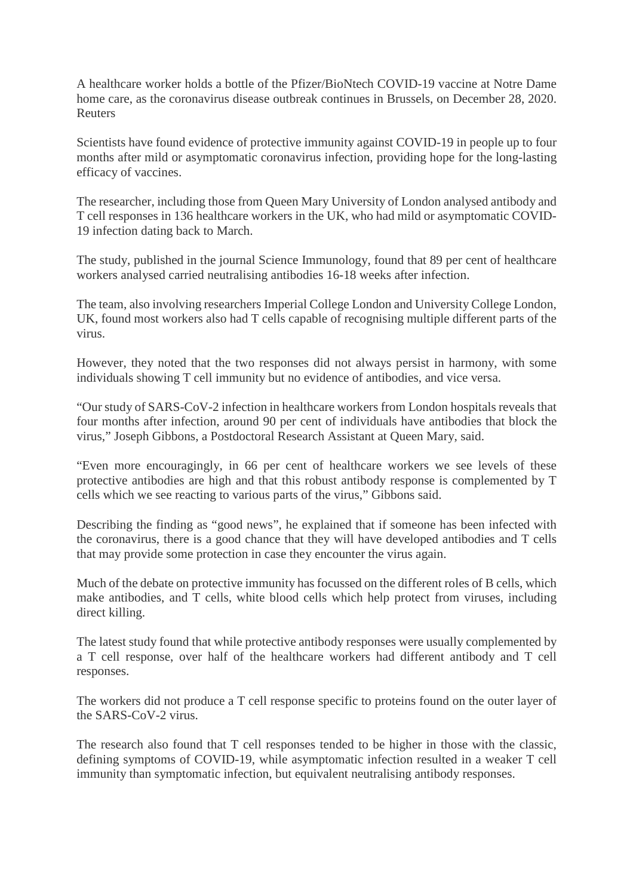A healthcare worker holds a bottle of the Pfizer/BioNtech COVID-19 vaccine at Notre Dame home care, as the coronavirus disease outbreak continues in Brussels, on December 28, 2020. Reuters

Scientists have found evidence of protective immunity against COVID-19 in people up to four months after mild or asymptomatic coronavirus infection, providing hope for the long-lasting efficacy of vaccines.

The researcher, including those from Queen Mary University of London analysed antibody and T cell responses in 136 healthcare workers in the UK, who had mild or asymptomatic COVID-19 infection dating back to March.

The study, published in the journal Science Immunology, found that 89 per cent of healthcare workers analysed carried neutralising antibodies 16-18 weeks after infection.

The team, also involving researchers Imperial College London and University College London, UK, found most workers also had T cells capable of recognising multiple different parts of the virus.

However, they noted that the two responses did not always persist in harmony, with some individuals showing T cell immunity but no evidence of antibodies, and vice versa.

"Our study of SARS-CoV-2 infection in healthcare workers from London hospitals reveals that four months after infection, around 90 per cent of individuals have antibodies that block the virus," Joseph Gibbons, a Postdoctoral Research Assistant at Queen Mary, said.

"Even more encouragingly, in 66 per cent of healthcare workers we see levels of these protective antibodies are high and that this robust antibody response is complemented by T cells which we see reacting to various parts of the virus," Gibbons said.

Describing the finding as "good news", he explained that if someone has been infected with the coronavirus, there is a good chance that they will have developed antibodies and T cells that may provide some protection in case they encounter the virus again.

Much of the debate on protective immunity has focussed on the different roles of B cells, which make antibodies, and T cells, white blood cells which help protect from viruses, including direct killing.

The latest study found that while protective antibody responses were usually complemented by a T cell response, over half of the healthcare workers had different antibody and T cell responses.

The workers did not produce a T cell response specific to proteins found on the outer layer of the SARS-CoV-2 virus.

The research also found that T cell responses tended to be higher in those with the classic, defining symptoms of COVID-19, while asymptomatic infection resulted in a weaker T cell immunity than symptomatic infection, but equivalent neutralising antibody responses.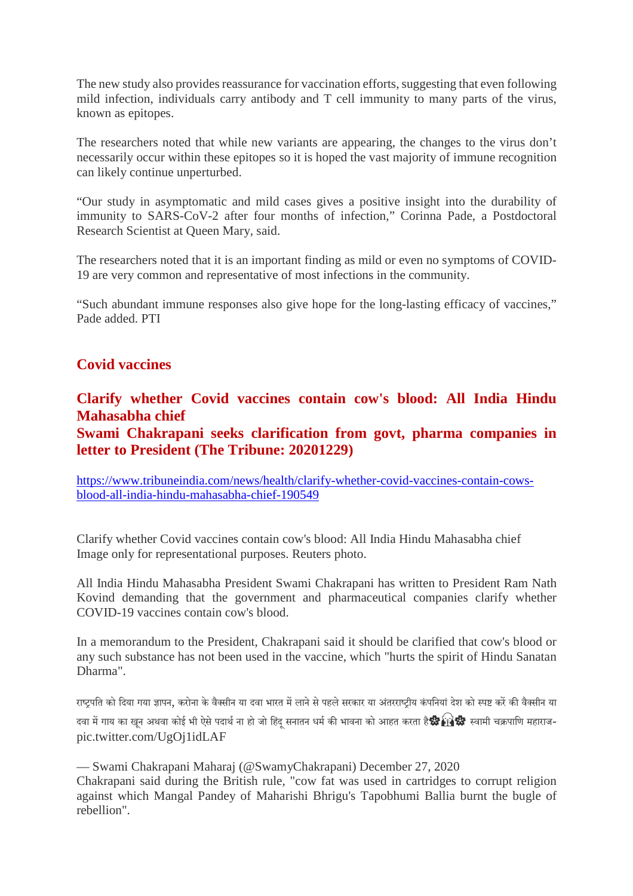The new study also provides reassurance for vaccination efforts, suggesting that even following mild infection, individuals carry antibody and T cell immunity to many parts of the virus, known as epitopes.

The researchers noted that while new variants are appearing, the changes to the virus don't necessarily occur within these epitopes so it is hoped the vast majority of immune recognition can likely continue unperturbed.

"Our study in asymptomatic and mild cases gives a positive insight into the durability of immunity to SARS-CoV-2 after four months of infection," Corinna Pade, a Postdoctoral Research Scientist at Queen Mary, said.

The researchers noted that it is an important finding as mild or even no symptoms of COVID-19 are very common and representative of most infections in the community.

"Such abundant immune responses also give hope for the long-lasting efficacy of vaccines," Pade added. PTI

#### **Covid vaccines**

#### **Clarify whether Covid vaccines contain cow's blood: All India Hindu Mahasabha chief**

**Swami Chakrapani seeks clarification from govt, pharma companies in letter to President (The Tribune: 20201229)**

https://www.tribuneindia.com/news/health/clarify-whether-covid-vaccines-contain-cowsblood-all-india-hindu-mahasabha-chief-190549

Clarify whether Covid vaccines contain cow's blood: All India Hindu Mahasabha chief Image only for representational purposes. Reuters photo.

All India Hindu Mahasabha President Swami Chakrapani has written to President Ram Nath Kovind demanding that the government and pharmaceutical companies clarify whether COVID-19 vaccines contain cow's blood.

In a memorandum to the President, Chakrapani said it should be clarified that cow's blood or any such substance has not been used in the vaccine, which "hurts the spirit of Hindu Sanatan Dharma".

राष्टपति को दिया गया ज्ञापन, करोना के वैक्सीन या दवा भारत में लाने से पहले सरकार या अंतरराष्टीय कंपनियां देश को स्पष्ट करें की वैक्सीन या दवा में गाय का खुन अथवा कोई भी ऐसे पदार्थ ना हो जो हिंद सनातन धर्म की भावना को आहत करता है **क्षै∕भि क्षैि** स्वामी चक्रपाणि महाराजpic.twitter.com/UgOj1idLAF

— Swami Chakrapani Maharaj (@SwamyChakrapani) December 27, 2020 Chakrapani said during the British rule, "cow fat was used in cartridges to corrupt religion against which Mangal Pandey of Maharishi Bhrigu's Tapobhumi Ballia burnt the bugle of rebellion".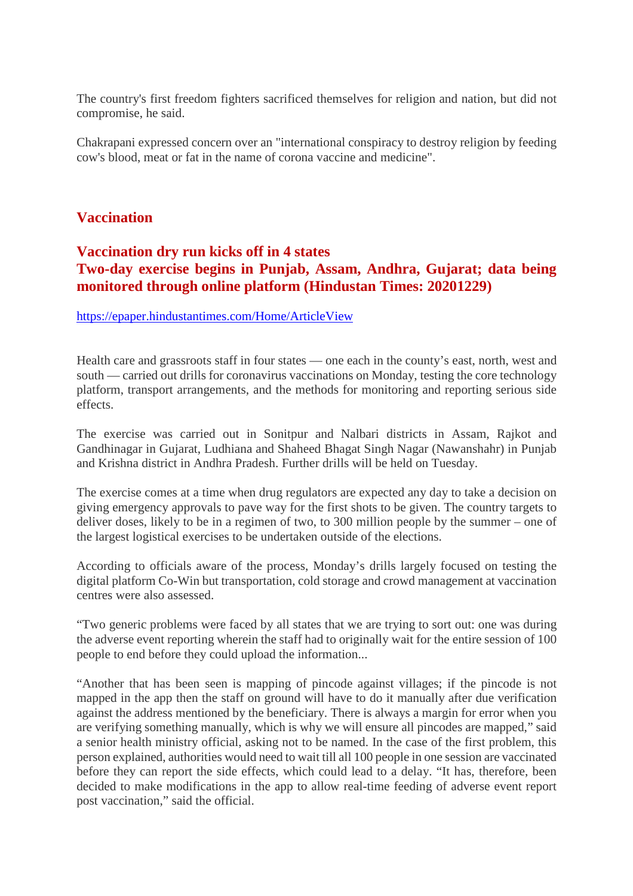The country's first freedom fighters sacrificed themselves for religion and nation, but did not compromise, he said.

Chakrapani expressed concern over an "international conspiracy to destroy religion by feeding cow's blood, meat or fat in the name of corona vaccine and medicine".

#### **Vaccination**

#### **Vaccination dry run kicks off in 4 states Two-day exercise begins in Punjab, Assam, Andhra, Gujarat; data being monitored through online platform (Hindustan Times: 20201229)**

#### https://epaper.hindustantimes.com/Home/ArticleView

Health care and grassroots staff in four states — one each in the county's east, north, west and south — carried out drills for coronavirus vaccinations on Monday, testing the core technology platform, transport arrangements, and the methods for monitoring and reporting serious side effects.

The exercise was carried out in Sonitpur and Nalbari districts in Assam, Rajkot and Gandhinagar in Gujarat, Ludhiana and Shaheed Bhagat Singh Nagar (Nawanshahr) in Punjab and Krishna district in Andhra Pradesh. Further drills will be held on Tuesday.

The exercise comes at a time when drug regulators are expected any day to take a decision on giving emergency approvals to pave way for the first shots to be given. The country targets to deliver doses, likely to be in a regimen of two, to 300 million people by the summer – one of the largest logistical exercises to be undertaken outside of the elections.

According to officials aware of the process, Monday's drills largely focused on testing the digital platform Co-Win but transportation, cold storage and crowd management at vaccination centres were also assessed.

"Two generic problems were faced by all states that we are trying to sort out: one was during the adverse event reporting wherein the staff had to originally wait for the entire session of 100 people to end before they could upload the information...

"Another that has been seen is mapping of pincode against villages; if the pincode is not mapped in the app then the staff on ground will have to do it manually after due verification against the address mentioned by the beneficiary. There is always a margin for error when you are verifying something manually, which is why we will ensure all pincodes are mapped," said a senior health ministry official, asking not to be named. In the case of the first problem, this person explained, authorities would need to wait till all 100 people in one session are vaccinated before they can report the side effects, which could lead to a delay. "It has, therefore, been decided to make modifications in the app to allow real-time feeding of adverse event report post vaccination," said the official.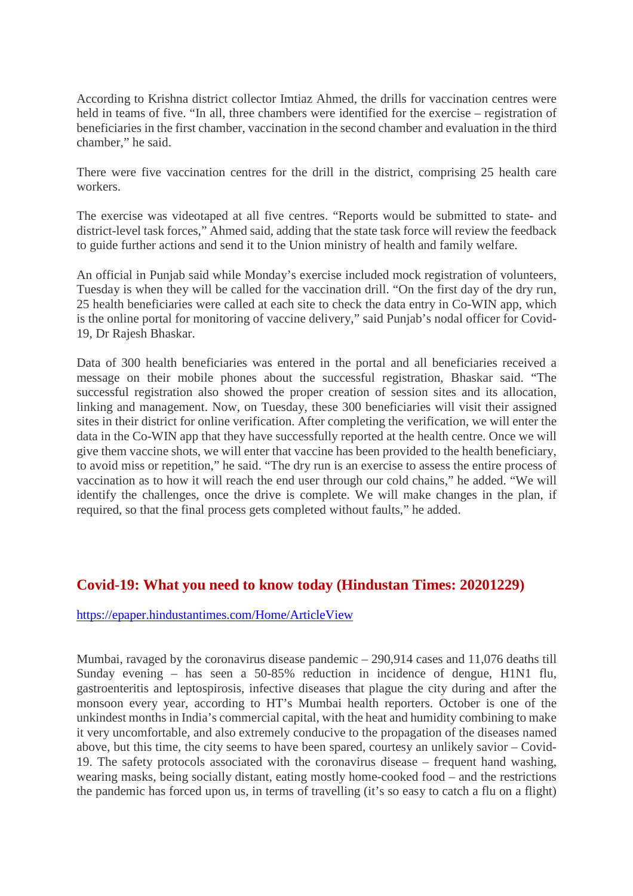According to Krishna district collector Imtiaz Ahmed, the drills for vaccination centres were held in teams of five. "In all, three chambers were identified for the exercise – registration of beneficiaries in the first chamber, vaccination in the second chamber and evaluation in the third chamber," he said.

There were five vaccination centres for the drill in the district, comprising 25 health care workers.

The exercise was videotaped at all five centres. "Reports would be submitted to state- and district-level task forces," Ahmed said, adding that the state task force will review the feedback to guide further actions and send it to the Union ministry of health and family welfare.

An official in Punjab said while Monday's exercise included mock registration of volunteers, Tuesday is when they will be called for the vaccination drill. "On the first day of the dry run, 25 health beneficiaries were called at each site to check the data entry in Co-WIN app, which is the online portal for monitoring of vaccine delivery," said Punjab's nodal officer for Covid-19, Dr Rajesh Bhaskar.

Data of 300 health beneficiaries was entered in the portal and all beneficiaries received a message on their mobile phones about the successful registration, Bhaskar said. "The successful registration also showed the proper creation of session sites and its allocation, linking and management. Now, on Tuesday, these 300 beneficiaries will visit their assigned sites in their district for online verification. After completing the verification, we will enter the data in the Co-WIN app that they have successfully reported at the health centre. Once we will give them vaccine shots, we will enter that vaccine has been provided to the health beneficiary, to avoid miss or repetition," he said. "The dry run is an exercise to assess the entire process of vaccination as to how it will reach the end user through our cold chains," he added. "We will identify the challenges, once the drive is complete. We will make changes in the plan, if required, so that the final process gets completed without faults," he added.

#### **Covid-19: What you need to know today (Hindustan Times: 20201229)**

https://epaper.hindustantimes.com/Home/ArticleView

Mumbai, ravaged by the coronavirus disease pandemic – 290,914 cases and 11,076 deaths till Sunday evening – has seen a 50-85% reduction in incidence of dengue, H1N1 flu, gastroenteritis and leptospirosis, infective diseases that plague the city during and after the monsoon every year, according to HT's Mumbai health reporters. October is one of the unkindest months in India's commercial capital, with the heat and humidity combining to make it very uncomfortable, and also extremely conducive to the propagation of the diseases named above, but this time, the city seems to have been spared, courtesy an unlikely savior – Covid-19. The safety protocols associated with the coronavirus disease – frequent hand washing, wearing masks, being socially distant, eating mostly home-cooked food – and the restrictions the pandemic has forced upon us, in terms of travelling (it's so easy to catch a flu on a flight)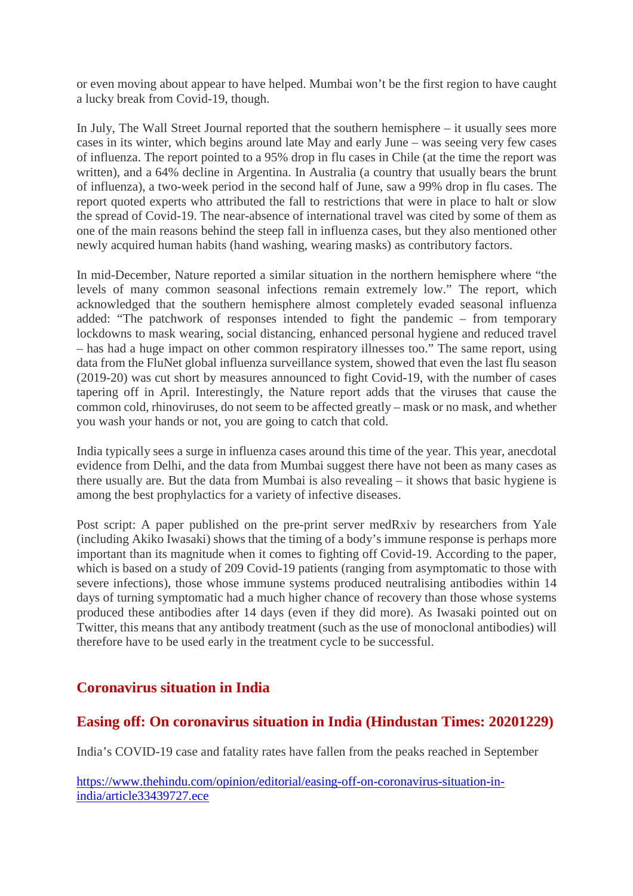or even moving about appear to have helped. Mumbai won't be the first region to have caught a lucky break from Covid-19, though.

In July, The Wall Street Journal reported that the southern hemisphere – it usually sees more cases in its winter, which begins around late May and early June – was seeing very few cases of influenza. The report pointed to a 95% drop in flu cases in Chile (at the time the report was written), and a 64% decline in Argentina. In Australia (a country that usually bears the brunt of influenza), a two-week period in the second half of June, saw a 99% drop in flu cases. The report quoted experts who attributed the fall to restrictions that were in place to halt or slow the spread of Covid-19. The near-absence of international travel was cited by some of them as one of the main reasons behind the steep fall in influenza cases, but they also mentioned other newly acquired human habits (hand washing, wearing masks) as contributory factors.

In mid-December, Nature reported a similar situation in the northern hemisphere where "the levels of many common seasonal infections remain extremely low." The report, which acknowledged that the southern hemisphere almost completely evaded seasonal influenza added: "The patchwork of responses intended to fight the pandemic – from temporary lockdowns to mask wearing, social distancing, enhanced personal hygiene and reduced travel – has had a huge impact on other common respiratory illnesses too." The same report, using data from the FluNet global influenza surveillance system, showed that even the last flu season (2019-20) was cut short by measures announced to fight Covid-19, with the number of cases tapering off in April. Interestingly, the Nature report adds that the viruses that cause the common cold, rhinoviruses, do not seem to be affected greatly – mask or no mask, and whether you wash your hands or not, you are going to catch that cold.

India typically sees a surge in influenza cases around this time of the year. This year, anecdotal evidence from Delhi, and the data from Mumbai suggest there have not been as many cases as there usually are. But the data from Mumbai is also revealing – it shows that basic hygiene is among the best prophylactics for a variety of infective diseases.

Post script: A paper published on the pre-print server medRxiv by researchers from Yale (including Akiko Iwasaki) shows that the timing of a body's immune response is perhaps more important than its magnitude when it comes to fighting off Covid-19. According to the paper, which is based on a study of 209 Covid-19 patients (ranging from asymptomatic to those with severe infections), those whose immune systems produced neutralising antibodies within 14 days of turning symptomatic had a much higher chance of recovery than those whose systems produced these antibodies after 14 days (even if they did more). As Iwasaki pointed out on Twitter, this means that any antibody treatment (such as the use of monoclonal antibodies) will therefore have to be used early in the treatment cycle to be successful.

#### **Coronavirus situation in India**

#### **Easing off: On coronavirus situation in India (Hindustan Times: 20201229)**

India's COVID-19 case and fatality rates have fallen from the peaks reached in September

https://www.thehindu.com/opinion/editorial/easing-off-on-coronavirus-situation-inindia/article33439727.ece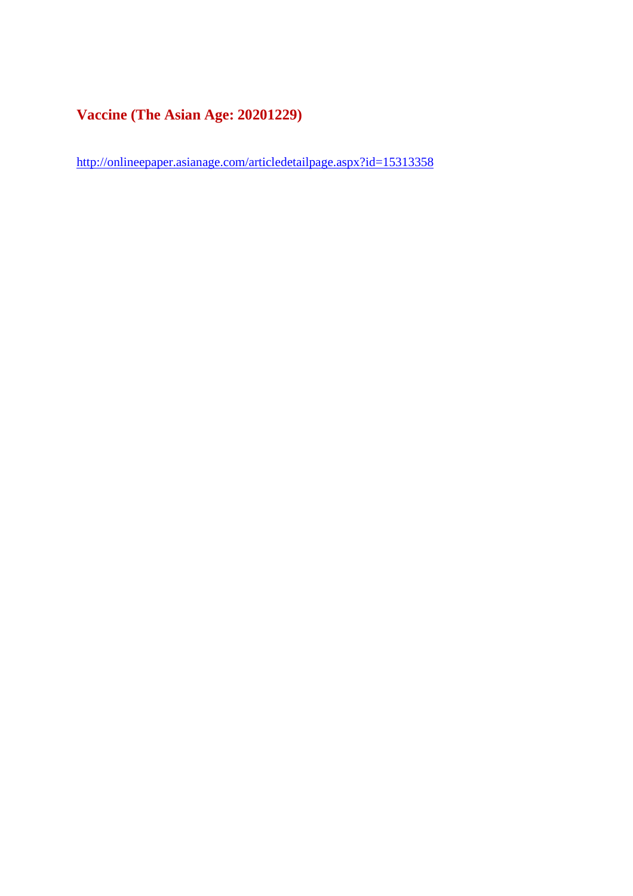#### **Vaccine (The Asian Age: 20201229)**

http://onlineepaper.asianage.com/articledetailpage.aspx?id=15313358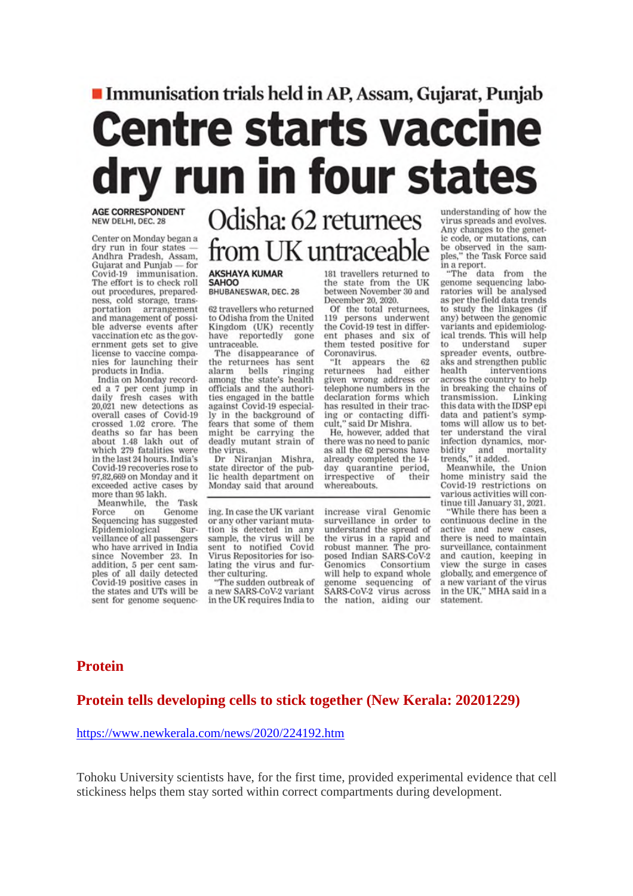## Immunisation trials held in AP, Assam, Gujarat, Punjab **Centre starts vaccine** rv run in four states

**AGE CORRESPONDENT** NEW DELHI, DEC. 28

Center on Monday began a dry run in four states -Andhra Pradesh, Assam. Gujarat and Punjab - for Covid-19 immunisation. The effort is to check roll out procedures, preparedness, cold storage, transportation arrangement and management of possible adverse events after vaccination etc as the government gets set to give license to vaccine companies for launching their products in India.

India on Monday recorded a 7 per cent jump in<br>daily fresh cases with 20,021 new detections as overall cases of Covid-19 crossed 1.02 crore. The deaths so far has been about 1.48 lakh out of which 279 fatalities were in the last 24 hours. India's Covid-19 recoveries rose to 97,82,669 on Monday and it exceeded active cases by more than 95 lakh.

Meanwhile, the Task Force on Genome<br>Sequencing has suggested Epidemiological Surveillance of all passengers who have arrived in India since November 23. In addition, 5 per cent samples of all daily detected Covid-19 positive cases in the states and UTs will be sent for genome sequenc-

### Odisha: 62 returnees from UK untraceable

#### **AKSHAYA KUMAR SAHOO**

BHUBANESWAR, DEC. 28

62 travellers who returned to Odisha from the United Kingdom (UK) recently reportedly have gone untraceable.

The disappearance of the returnees has sent bells alarm ringing among the state's health officials and the authorities engaged in the battle against Covid-19 especially in the background of fears that some of them might be carrying the deadly mutant strain of the virus.

Dr Niranjan Mishra,<br>state director of the public health department on Monday said that around

ing. In case the UK variant or any other variant mutation is detected in any sample, the virus will be<br>sent to notified Covid Virus Repositories for isolating the virus and further culturing.

"The sudden outbreak of a new SARS-CoV-2 variant in the UK requires India to 181 travellers returned to the state from the UK between November 30 and December 20, 2020.

Of the total returnees, 119 persons underwent<br>the Covid-19 test in different phases and six of them tested positive for Coronavirus.

the "It appears -62 returnees had either given wrong address or telephone numbers in the declaration forms which has resulted in their tracing or contacting diffi-<br>cult," said Dr Mishra.

He, however, added that there was no need to panic as all the 62 persons have already completed the 14day quarantine period, irrespective of their whereabouts.

increase viral Genomic surveillance in order to<br>understand the spread of the virus in a rapid and<br>robust manner. The proposed Indian SARS-CoV-2 Genomics Consortium will help to expand whole genome sequencing of SARS-CoV-2 virus across the nation, aiding our understanding of how the virus spreads and evolves. Any changes to the genetic code, or mutations, can be observed in the samples," the Task Force said

in a report.<br>"The data from the genome sequencing laboratories will be analysed as per the field data trends to study the linkages (if any) between the genomic variants and epidemiological trends. This will help understand  $to$ super spreader events, outbreaks and strengthen public health interventions across the country to help in breaking the chains of transmission. Linking this data with the IDSP epi data and patient's symptoms will allow us to better understand the viral infection dynamics, morbidity and r<br>trends," it added. mortality

Meanwhile, the Union home ministry said the Covid-19 restrictions on various activities will continue till January 31, 2021.

While there has been a continuous decline in the active and new cases. there is need to maintain surveillance, containment and caution, keeping in view the surge in cases globally, and emergence of a new variant of the virus<br>in the UK," MHA said in a statement.

#### **Protein**

#### Protein tells developing cells to stick together (New Kerala: 20201229)

https://www.newkerala.com/news/2020/224192.htm

Tohoku University scientists have, for the first time, provided experimental evidence that cell stickiness helps them stay sorted within correct compartments during development.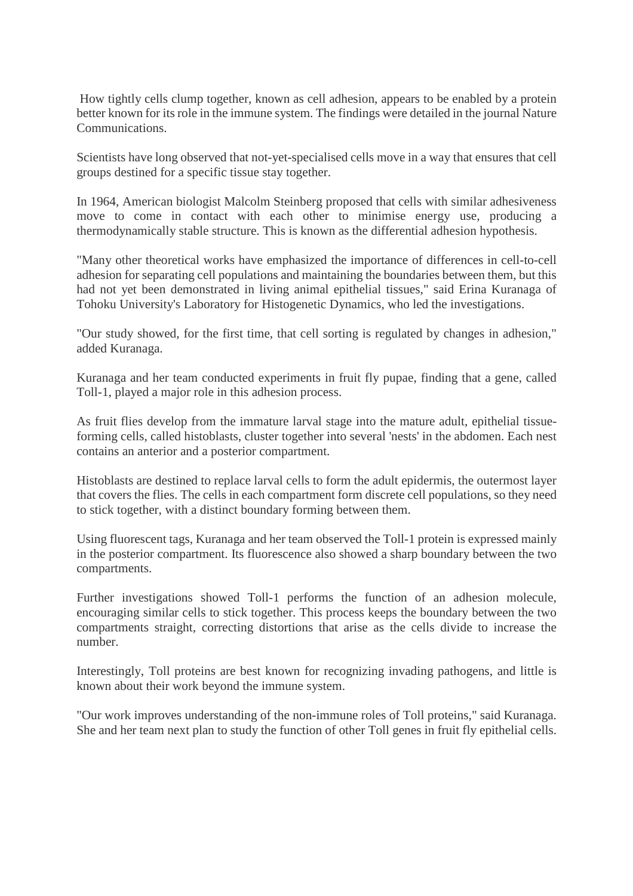How tightly cells clump together, known as cell adhesion, appears to be enabled by a protein better known for its role in the immune system. The findings were detailed in the journal Nature Communications.

Scientists have long observed that not-yet-specialised cells move in a way that ensures that cell groups destined for a specific tissue stay together.

In 1964, American biologist Malcolm Steinberg proposed that cells with similar adhesiveness move to come in contact with each other to minimise energy use, producing a thermodynamically stable structure. This is known as the differential adhesion hypothesis.

"Many other theoretical works have emphasized the importance of differences in cell-to-cell adhesion for separating cell populations and maintaining the boundaries between them, but this had not yet been demonstrated in living animal epithelial tissues," said Erina Kuranaga of Tohoku University's Laboratory for Histogenetic Dynamics, who led the investigations.

"Our study showed, for the first time, that cell sorting is regulated by changes in adhesion," added Kuranaga.

Kuranaga and her team conducted experiments in fruit fly pupae, finding that a gene, called Toll-1, played a major role in this adhesion process.

As fruit flies develop from the immature larval stage into the mature adult, epithelial tissueforming cells, called histoblasts, cluster together into several 'nests' in the abdomen. Each nest contains an anterior and a posterior compartment.

Histoblasts are destined to replace larval cells to form the adult epidermis, the outermost layer that covers the flies. The cells in each compartment form discrete cell populations, so they need to stick together, with a distinct boundary forming between them.

Using fluorescent tags, Kuranaga and her team observed the Toll-1 protein is expressed mainly in the posterior compartment. Its fluorescence also showed a sharp boundary between the two compartments.

Further investigations showed Toll-1 performs the function of an adhesion molecule, encouraging similar cells to stick together. This process keeps the boundary between the two compartments straight, correcting distortions that arise as the cells divide to increase the number.

Interestingly, Toll proteins are best known for recognizing invading pathogens, and little is known about their work beyond the immune system.

"Our work improves understanding of the non-immune roles of Toll proteins," said Kuranaga. She and her team next plan to study the function of other Toll genes in fruit fly epithelial cells.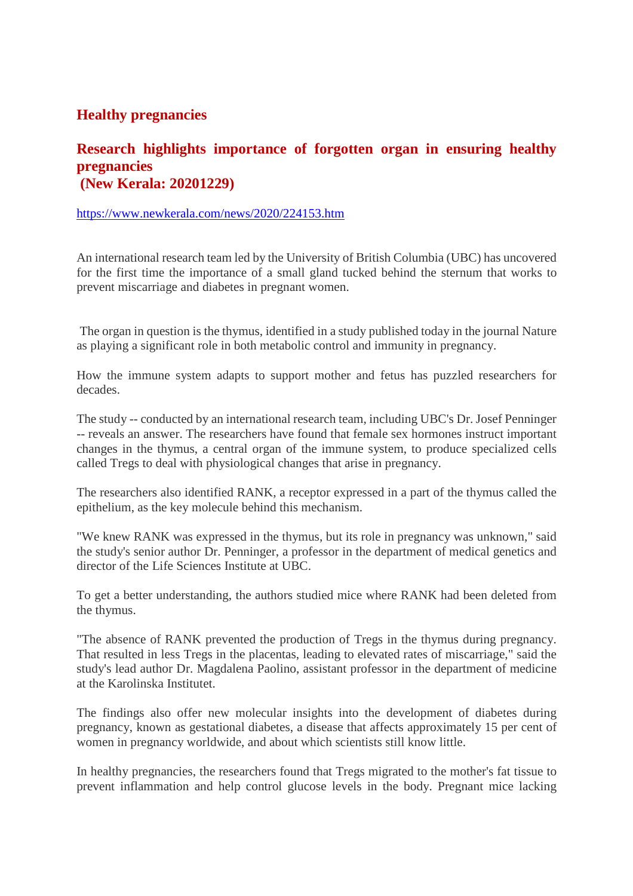#### **Healthy pregnancies**

#### **Research highlights importance of forgotten organ in ensuring healthy pregnancies (New Kerala: 20201229)**

#### https://www.newkerala.com/news/2020/224153.htm

An international research team led by the University of British Columbia (UBC) has uncovered for the first time the importance of a small gland tucked behind the sternum that works to prevent miscarriage and diabetes in pregnant women.

The organ in question is the thymus, identified in a study published today in the journal Nature as playing a significant role in both metabolic control and immunity in pregnancy.

How the immune system adapts to support mother and fetus has puzzled researchers for decades.

The study -- conducted by an international research team, including UBC's Dr. Josef Penninger -- reveals an answer. The researchers have found that female sex hormones instruct important changes in the thymus, a central organ of the immune system, to produce specialized cells called Tregs to deal with physiological changes that arise in pregnancy.

The researchers also identified RANK, a receptor expressed in a part of the thymus called the epithelium, as the key molecule behind this mechanism.

"We knew RANK was expressed in the thymus, but its role in pregnancy was unknown," said the study's senior author Dr. Penninger, a professor in the department of medical genetics and director of the Life Sciences Institute at UBC.

To get a better understanding, the authors studied mice where RANK had been deleted from the thymus.

"The absence of RANK prevented the production of Tregs in the thymus during pregnancy. That resulted in less Tregs in the placentas, leading to elevated rates of miscarriage," said the study's lead author Dr. Magdalena Paolino, assistant professor in the department of medicine at the Karolinska Institutet.

The findings also offer new molecular insights into the development of diabetes during pregnancy, known as gestational diabetes, a disease that affects approximately 15 per cent of women in pregnancy worldwide, and about which scientists still know little.

In healthy pregnancies, the researchers found that Tregs migrated to the mother's fat tissue to prevent inflammation and help control glucose levels in the body. Pregnant mice lacking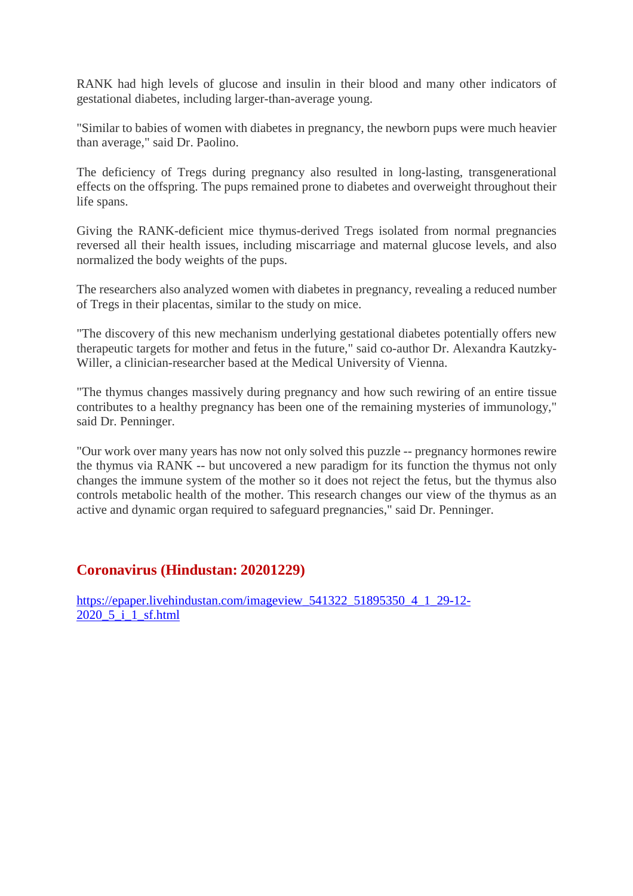RANK had high levels of glucose and insulin in their blood and many other indicators of gestational diabetes, including larger-than-average young.

"Similar to babies of women with diabetes in pregnancy, the newborn pups were much heavier than average," said Dr. Paolino.

The deficiency of Tregs during pregnancy also resulted in long-lasting, transgenerational effects on the offspring. The pups remained prone to diabetes and overweight throughout their life spans.

Giving the RANK-deficient mice thymus-derived Tregs isolated from normal pregnancies reversed all their health issues, including miscarriage and maternal glucose levels, and also normalized the body weights of the pups.

The researchers also analyzed women with diabetes in pregnancy, revealing a reduced number of Tregs in their placentas, similar to the study on mice.

"The discovery of this new mechanism underlying gestational diabetes potentially offers new therapeutic targets for mother and fetus in the future," said co-author Dr. Alexandra Kautzky-Willer, a clinician-researcher based at the Medical University of Vienna.

"The thymus changes massively during pregnancy and how such rewiring of an entire tissue contributes to a healthy pregnancy has been one of the remaining mysteries of immunology," said Dr. Penninger.

"Our work over many years has now not only solved this puzzle -- pregnancy hormones rewire the thymus via RANK -- but uncovered a new paradigm for its function the thymus not only changes the immune system of the mother so it does not reject the fetus, but the thymus also controls metabolic health of the mother. This research changes our view of the thymus as an active and dynamic organ required to safeguard pregnancies," said Dr. Penninger.

#### **Coronavirus (Hindustan: 20201229)**

https://epaper.livehindustan.com/imageview\_541322\_51895350\_4\_1\_29-12-2020\_5\_i\_1\_sf.html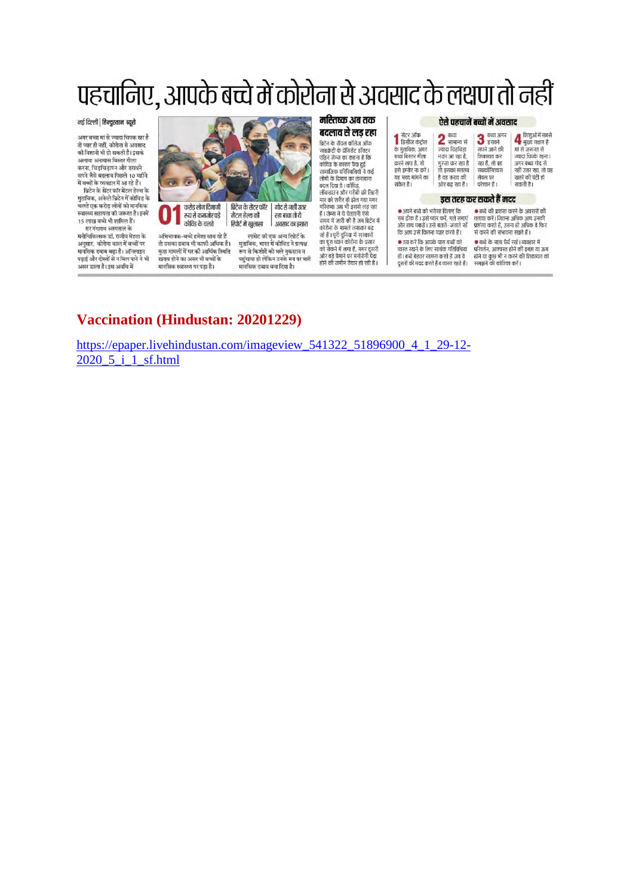## पहचानिए, आपके बच्चे में कोरोना से अवसाद के लक्षण तो नहीं

#### नई दिल्ली | हिन्दुस्तान ब्यूरो

.<br>अगर बच्चा मां से ज्यादा चिपक रहा है तो प्यार ही नहीं, कोरोना से अवसाद की निशानी भी हो सकती है। इसके अलावा अनायास बिस्तर गीला करना, चिड़चिड़ापन और डरावने .<br>सपने जैसे बदलाव पिछले 10 महीने<br>में बच्चों के व्यवहार में आ रहे हैं। ब्रिटेन के सेंटर फॉर मेंटल हेल्थ के मुताबिक, अकेले ब्रिटेन में कोविड के ुजानिक, अक्टानबन्न का कान्छ के<br>चलते एक करोड़ लोगों को मानसिक<br>स्वास्थ्य सहायता की जरूरत है। इनमें 15 लाख बच्चे भी शामिल हैं। सर गंगाराम अस्पताल के मनोचिकित्सक डॉ. राजीव मेहता के<br>अनसार. कोरोना काल में बच्चों पर मानसिक दवाब बढ़ा है। ऑनलाइन पढ़ाई और टोस्तों से न मिल पाने ने भी

असर डाला है। इस अवधि में



अभिभावक-बच्चे हमेशा साथ रहे हैं तो उसका दबाव भी काफी अधिक है। कुछ मामलों में घर की आर्थिक स्थिति खराब होने का असर भी बच्चों के मानसिक स्वास्थ्य पर पड़ा है।

रिपोर्ट में खुलासा । अवसाद का इशारा लांसेट की एक अन्य रिपोर्ट के मताबिक, भारत में कोविड ने प्रत्यक्ष रूप से किशोरों को भले नुकसान न पहुंचाया हो लेकिन उनके मन पर भारी<br>मानसिक दबाव बना दिया है। महितष्क अब तक बदलाव से लड रहा

ब्रिटेन के रॉयल कॉलेज ऑफ<br>साइक्रेटी के प्रेसिडेंट डॉक्टर

साइफ्रेटा के प्रासन्दर अपटर<br>एड्रिन जेम्स का कहना है कि<br>कोविड के कारण पैदा हुई<br>सामाजिक परिस्थितियों ने कई

सामान्य पारस्वातना ने कई<br>लोगों के दिमाग का तानाबाना<br>बदल दिया है । कोविड,<br>लॉकडाउन और गरीबी की तिहरी

लाकडाउन और गरावा का सहस्त<br>मार को शरीर तो झेल गया मगर<br>मस्तिष्क अब भी इससे लड़ रहा

हा जन्दा नाव वतावना रहा<br>समय में जारी की है जब ब्रिटेन में<br>कोरोना के मामले लगातार बढ़

रहे हैं। पूरी दुनिया में सरकारों<br>का पूरा ध्यान कोरोना के प्रसार<br>को रोकने में लगा है, मगर दूसरी<br>ओर बड़े पैमाने पर मनोरोगी पैदा

होने की जमीन तैयार हो रही है।

1

#### ऐसे पहचानें बच्चों में अवसाद

| ↑ सेंटर ऑफ<br>↑ डिसीज कंट्रोल<br>के मताबिक, अगर<br>बच्चा बिस्तर गीला<br>करने लगा है, तो<br>इसे इग्नोर ना करें।<br>यह मदद मांगने का<br>संकेत है। | बन्धा<br>4 सामान्य से<br>ज्यादा चिहचिहा<br>नजर आ रहा है.<br>गस्सा कर रहा है<br>तो इसका मतलब<br>है वह तनाव की<br>ओर बद रहा है। | बच्चा अगर<br>$3$ इरावने<br>सपने आने की<br>शिकायत कर<br>रहा है, तो वह<br>सबकॉन्शियस<br>लेवल पर<br>परेशान है। | 4 शिशुओं में सबसे<br>मुख्य लक्षण है<br>मां से जरूरत से<br>ज्यादा चिपके रहना।<br>अगर बच्चा गोद से<br>नहीं उतर रहा, तो यह<br>खतरे की घंटी हो<br>सकती है। |
|-------------------------------------------------------------------------------------------------------------------------------------------------|-------------------------------------------------------------------------------------------------------------------------------|-------------------------------------------------------------------------------------------------------------|--------------------------------------------------------------------------------------------------------------------------------------------------------|
|                                                                                                                                                 |                                                                                                                               | इस तरह कर सकते हैं मदद                                                                                      |                                                                                                                                                        |
| ● अपने बच्चे को भरोसा दिलाएं कि                                                                                                                 |                                                                                                                               | • बच्चे की प्रशंसा करने के अवसरों की                                                                        |                                                                                                                                                        |
| सब ठीक है । उसे प्यार करें. गले लगाएं                                                                                                           |                                                                                                                               | तलाश करें। जितना अधिक आप उनकी                                                                               |                                                                                                                                                        |
| और हाथ पकडें । उसे बताते–जताते रहें                                                                                                             |                                                                                                                               | प्रशंसा करते हैं. उतना ही अधिक वे फिर                                                                       |                                                                                                                                                        |
| कि आप उसे कितना प्यार करते हैं।                                                                                                                 |                                                                                                                               | से करने की संभावना रखते हैं।                                                                                |                                                                                                                                                        |
| • तय करें कि आपके पास बच्चों को                                                                                                                 |                                                                                                                               | ● बच्चे के साथ धैर्य रखें। व्यवहार में                                                                      |                                                                                                                                                        |
| व्यस्त रखने के लिए सार्थक गतिविधियां                                                                                                            |                                                                                                                               | परिवर्तन, आश्वस्त होने की इच्छा या ऊब                                                                       |                                                                                                                                                        |

हों। बच्चे बेहतर सामना करते हैं जब वे स्त्री या कुछ भी न करने की शिकायत को<br>दूसरों की मदद करते हैं व व्यस्त रहते हैं। समझने की कोशिश करें।

#### Vaccination (Hindustan: 20201229)

https://epaper.livehindustan.com/imageview\_541322\_51896900\_4\_1\_29-12-2020 5 i 1 sf.html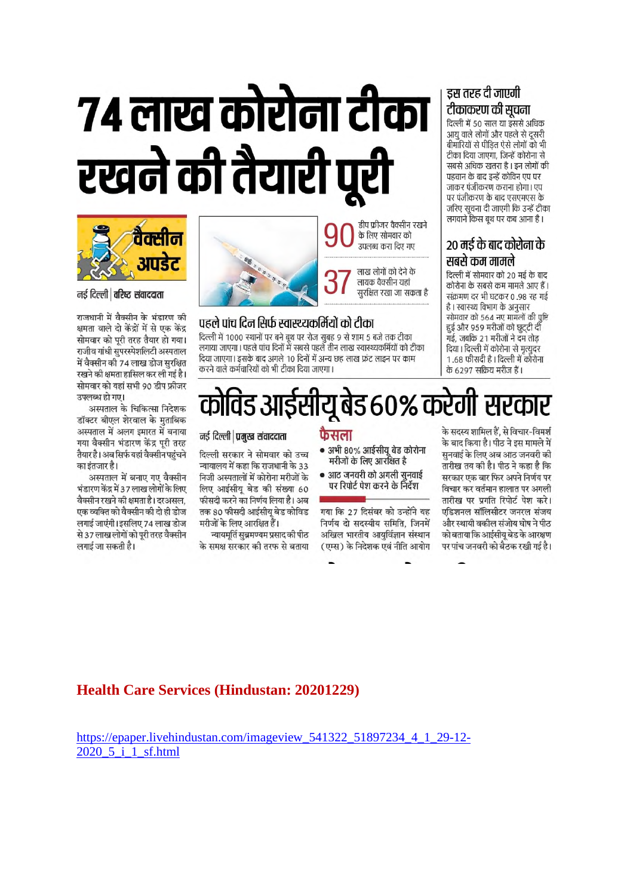# ७४ लाख कोरोना टीका रखने की तैयारी पूरी



नई दिल्ली | वरिष्ट संवाददाता

राजधानी में वैक्सीन के भंडारण की क्षमता वाले दो केंद्रों में से एक केंद्र सोमवार को परी तरह तैयार हो गया। राजीव गांधी सुपरस्पेशलिटी अस्पताल में वैक्सीन की 74 लाख डोज सरक्षित रखने की क्षमता हासिल कर ली गई है। सोमवार को यहां सभी 90 डीप फ्रीजर उपलब्ध हो गए।

अस्पताल के चिकित्सा निदेशक डॉक्टर बीएल शेरवाल के मुताबिक अस्पताल में अलग इमारत में बनाया गया वैक्सीन भंडारण केंद्र परी तरह तैयार है। अब सिर्फ यहां वैक्सीन पहंचने का इंतजार है।

अस्पताल में बनाए गए वैक्सीन भंडारण केंद्र में 37 लाख लोगों के लिए वैक्सीन रखने की क्षमता है। दरअसल. एक व्यक्ति को वैक्सीन की दो ही डोज लगाई जाएंगी। इसलिए 74 लाख डोज से 37 लाख लोगों को पूरी तरह वैक्सीन लगाई जा सकती है।



डीप फ्रीजर वैक्सीन रखने के लिए सोमवार को उपलब्ध करा दिए गए

> लाख लोगों को देने के लायक वैक्सीन यहां सुरक्षित रखा जा सकता है

#### पहले पांच दिन सिर्फ स्वास्थ्यकर्मियों को टीका

दिल्ली में 1000 स्थानों पर बने बुथ पर रोज सुबह 9 से शाम 5 बजे तक टीका लगाया जाएगा। पहले पांच दिनों में सबसे पहले तीन लाख स्वास्थ्यकर्मियों को टीका दिया जाएगा। इसके बाद अगले 10 दिनों में अन्य छह लाख फ्रंट लाइन पर काम करने वाले कर्मचारियों को भी टीका दिया जाएगा।

#### इस तरह दी जाएगी टीकाकरण की सुचना

दिल्ली में 50 साल या इससे अधिक आयु वाले लोगों और पहले से दूसरी बीमारियों से पीड़ित ऐसे लोगों को भी टीका दिया जाएगा, जिन्हें कोरोना से सबसे अधिक खतरा है। इन लोगों की पहचान के बाद इन्हें कोविन एप पर जांकर पंजीकरण कराना होगा। एप पर पंजीकरण के बाद एसएमएस के जरिए सूचना दी जाएगी कि उन्हें टीका लगवाने किस बथ पर कब आना है ।

#### 20 मई के बाद कोरोना के सबसे कम मामले

दिल्ली में सोमवार को 20 मई के बाद कोरोना के सबसे कम मामले आए हैं। संक्रमण दर भी घटकर 0.98 रह गई है। स्वास्थ्य विभाग के अनुसार सोमवार को 564 नए मामलों की पृष्टि हुई और 959 मरीजों को छूट्टी दी गई. जबकि 21 मरीजों ने दम तोड दिया। दिल्ली में कोरोना से मृत्युदर 1.68 फीसदी है। दिल्ली में कोरोना के 6297 सकिय मरीज हैं।

कोविड आईसीयू बेड ६०% करेगी सरकार

#### नई दिल्ली | प्रमुख संवाददाता

दिल्ली सरकार ने सोमवार को उच्च न्यायालय में कहा कि राजधानी के 33 निजी अस्पतालों में कोरोना मरीजों के लिए आईसीयू बेड की संख्या 60 फीसदी करने का निर्णय लिया है। अब तक 80 फीसदी आईसीय बेड कोविड मरीजों के लिए आरक्षित हैं।

न्यायमूर्ति सुब्रमण्यम प्रसाद की पीठ के समक्ष सरकार की तरफ से बताया • अभी 80% आईसीयू बेड कोरोना मरीजों के लिए आरक्षित है

फैसला

• आठ जनवरी को अगली सनवाई पर रिपोर्ट पेश करने के निर्देश

गया कि 27 दिसंबर को उन्होंने यह निर्णय दो सदस्यीय समिति. जिनमें अखिल भारतीय आयुर्विज्ञान संस्थान (एम्स) के निदेशक एवं नीति आयोग

के सदस्य शामिल हैं, से विचार-विमर्श के बाद किया है। पीठ ने इस मामले में सनवाई के लिए अब आठ जनवरी की तारीख तय की है। पीठ ने कहा है कि सरकार एक बार फिर अपने निर्णय पर विचार कर वर्तमान हालात पर अगली तारीख पर प्रगति रिपोर्ट पेश करे। एडिशनल सॉलिसीटर जनरल संजय और स्थायी वकील संजोय घोष ने पीठ को बताया कि आईसीय बेड के आरक्षण पर पांच जनवरी को बैठक रखी गई है।

#### **Health Care Services (Hindustan: 20201229)**

https://epaper.livehindustan.com/imageview 541322 51897234 4 1 29-12- $2020\,5\,$  i 1 sf.html